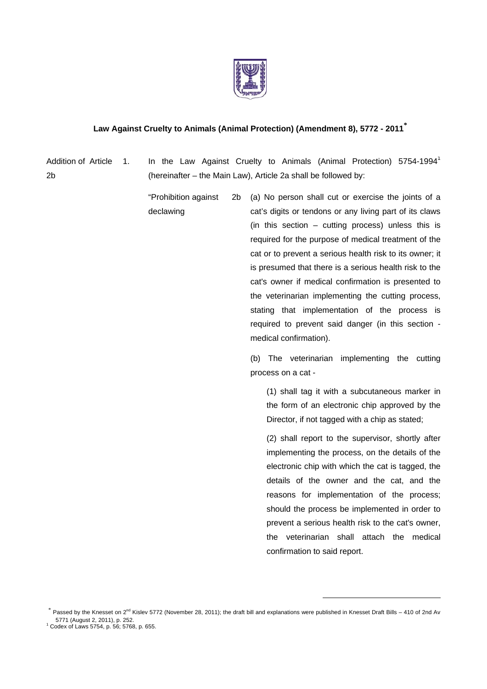

## **Law Against Cruelty to Animals (Animal Protection) (Amendment 8), 5772 - 2011\***

Addition of Article 2b

1. In the Law Against Cruelty to Animals (Animal Protection) 5754-1994<sup>1</sup> (hereinafter – the Main Law), Article 2a shall be followed by:

 "Prohibition against declawing 2b (a) No person shall cut or exercise the joints of a cat's digits or tendons or any living part of its claws (in this section  $-$  cutting process) unless this is required for the purpose of medical treatment of the

cat or to prevent a serious health risk to its owner; it is presumed that there is a serious health risk to the cat's owner if medical confirmation is presented to the veterinarian implementing the cutting process, stating that implementation of the process is required to prevent said danger (in this section medical confirmation).

 (b) The veterinarian implementing the cutting process on a cat -

 (1) shall tag it with a subcutaneous marker in the form of an electronic chip approved by the Director, if not tagged with a chip as stated;

 (2) shall report to the supervisor, shortly after implementing the process, on the details of the electronic chip with which the cat is tagged, the details of the owner and the cat, and the reasons for implementation of the process; should the process be implemented in order to prevent a serious health risk to the cat's owner, the veterinarian shall attach the medical confirmation to said report.

 $^*$  Passed by the Knesset on 2<sup>nd</sup> Kislev 5772 (November 28, 2011); the draft bill and explanations were published in Knesset Draft Bills – 410 of 2nd Av 5771 (August 2, 2011), p. 252. 1

Codex of Laws 5754, p. 56; 5768, p. 655.